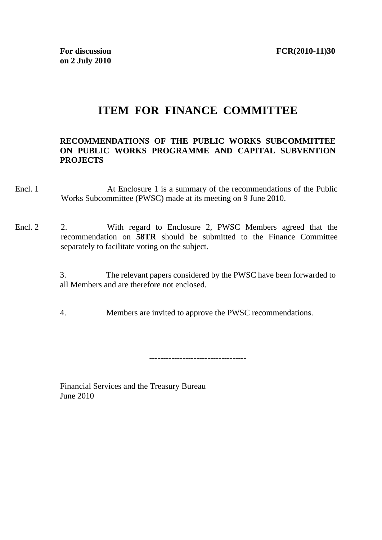# **ITEM FOR FINANCE COMMITTEE**

#### **RECOMMENDATIONS OF THE PUBLIC WORKS SUBCOMMITTEE ON PUBLIC WORKS PROGRAMME AND CAPITAL SUBVENTION PROJECTS**

- Encl. 1 At Enclosure 1 is a summary of the recommendations of the Public Works Subcommittee (PWSC) made at its meeting on 9 June 2010.
- Encl. 2 2. With regard to Enclosure 2, PWSC Members agreed that the recommendation on **58TR** should be submitted to the Finance Committee separately to facilitate voting on the subject.
	- 3. The relevant papers considered by the PWSC have been forwarded to all Members and are therefore not enclosed.
	- 4. Members are invited to approve the PWSC recommendations.

-----------------------------------

Financial Services and the Treasury Bureau June 2010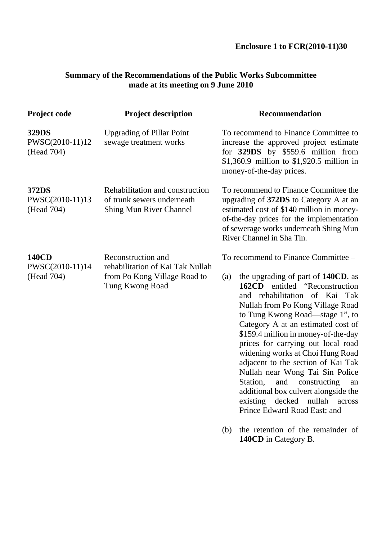## **Summary of the Recommendations of the Public Works Subcommittee made at its meeting on 9 June 2010**

| <b>Project code</b>                           | <b>Project description</b>                                                                                | <b>Recommendation</b>                                                                                                                                                                                                                                                                                                                                                                                                                                                                                                                                                                                                      |  |
|-----------------------------------------------|-----------------------------------------------------------------------------------------------------------|----------------------------------------------------------------------------------------------------------------------------------------------------------------------------------------------------------------------------------------------------------------------------------------------------------------------------------------------------------------------------------------------------------------------------------------------------------------------------------------------------------------------------------------------------------------------------------------------------------------------------|--|
| 329DS<br>PWSC(2010-11)12<br>(Head 704)        | <b>Upgrading of Pillar Point</b><br>sewage treatment works                                                | To recommend to Finance Committee to<br>increase the approved project estimate<br>for 329DS by \$559.6 million from<br>\$1,360.9 million to \$1,920.5 million in<br>money-of-the-day prices.<br>To recommend to Finance Committee the<br>upgrading of 372DS to Category A at an<br>estimated cost of \$140 million in money-<br>of-the-day prices for the implementation<br>of sewerage works underneath Shing Mun<br>River Channel in Sha Tin.                                                                                                                                                                            |  |
| 372DS<br>PWSC(2010-11)13<br>(Head 704)        | Rehabilitation and construction<br>of trunk sewers underneath<br><b>Shing Mun River Channel</b>           |                                                                                                                                                                                                                                                                                                                                                                                                                                                                                                                                                                                                                            |  |
| <b>140CD</b><br>PWSC(2010-11)14<br>(Head 704) | Reconstruction and<br>rehabilitation of Kai Tak Nullah<br>from Po Kong Village Road to<br>Tung Kwong Road | To recommend to Finance Committee -<br>the upgrading of part of 140CD, as<br>(a)<br><b>162CD</b><br>entitled "Reconstruction"<br>and rehabilitation of Kai Tak<br>Nullah from Po Kong Village Road<br>to Tung Kwong Road—stage 1", to<br>Category A at an estimated cost of<br>\$159.4 million in money-of-the-day<br>prices for carrying out local road<br>widening works at Choi Hung Road<br>adjacent to the section of Kai Tak<br>Nullah near Wong Tai Sin Police<br>Station,<br>and<br>constructing<br>an<br>additional box culvert alongside the<br>existing decked nullah<br>across<br>Prince Edward Road East; and |  |
|                                               |                                                                                                           | the retention of the remainder of<br>(b)<br>140CD in Category B.                                                                                                                                                                                                                                                                                                                                                                                                                                                                                                                                                           |  |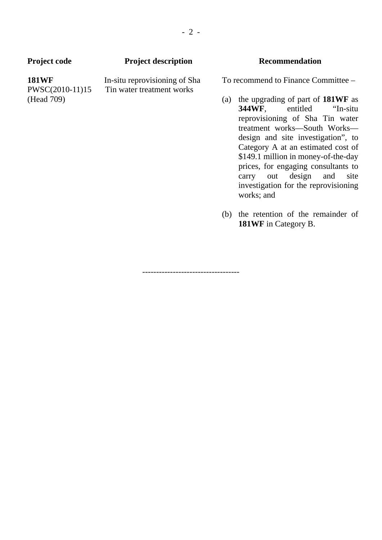| <b>Project code</b>                           | <b>Project description</b>                                 |     | <b>Recommendation</b>                                                                                                                                                                                                                                                                                                                                                                                                              |
|-----------------------------------------------|------------------------------------------------------------|-----|------------------------------------------------------------------------------------------------------------------------------------------------------------------------------------------------------------------------------------------------------------------------------------------------------------------------------------------------------------------------------------------------------------------------------------|
| <b>181WF</b><br>PWSC(2010-11)15<br>(Head 709) | In-situ reprovisioning of Sha<br>Tin water treatment works | (a) | To recommend to Finance Committee -<br>the upgrading of part of 181WF as<br><b>344WF,</b> entitled "In-situ"<br>reprovisioning of Sha Tin water<br>treatment works-South Works-<br>design and site investigation", to<br>Category A at an estimated cost of<br>\$149.1 million in money-of-the-day<br>prices, for engaging consultants to<br>carry out design<br>and<br>site<br>investigation for the reprovisioning<br>works; and |
|                                               |                                                            |     | (b) the retention of the remainder of<br><b>181WF</b> in Category B.                                                                                                                                                                                                                                                                                                                                                               |

-----------------------------------

- 2 -